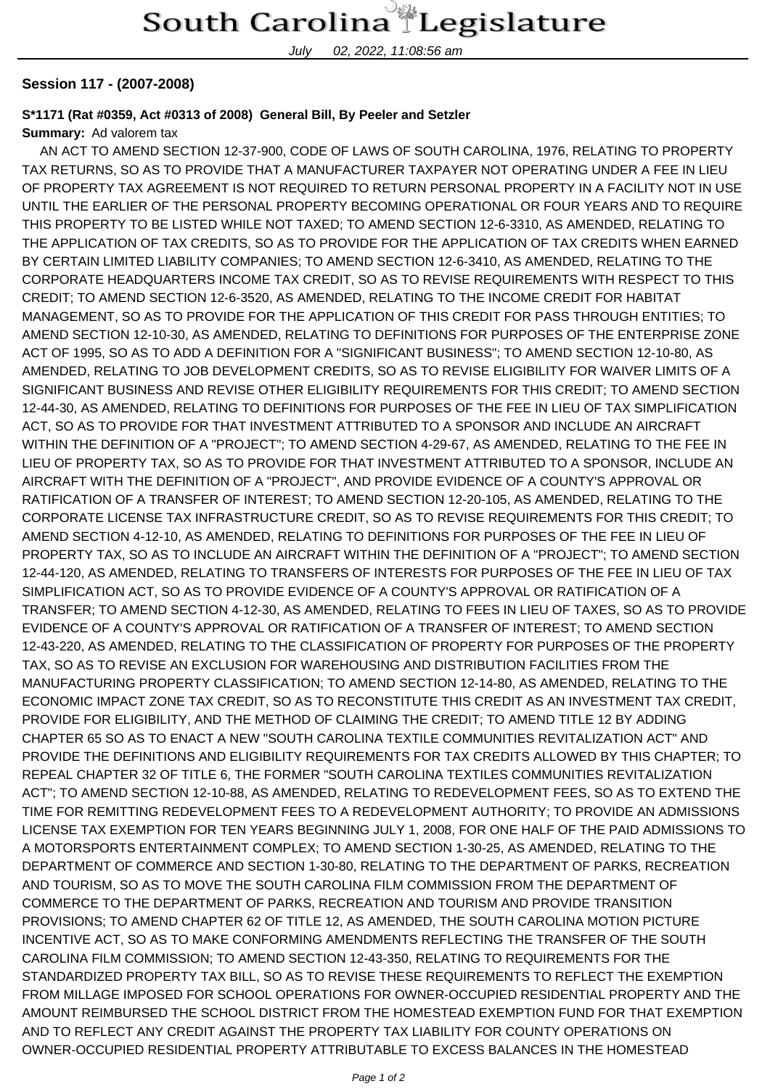July 02, 2022, 11:08:56 am

## **Session 117 - (2007-2008)**

## **S\*1171 (Rat #0359, Act #0313 of 2008) General Bill, By Peeler and Setzler**

## **Summary:** Ad valorem tax

 AN ACT TO AMEND SECTION 12-37-900, CODE OF LAWS OF SOUTH CAROLINA, 1976, RELATING TO PROPERTY TAX RETURNS, SO AS TO PROVIDE THAT A MANUFACTURER TAXPAYER NOT OPERATING UNDER A FEE IN LIEU OF PROPERTY TAX AGREEMENT IS NOT REQUIRED TO RETURN PERSONAL PROPERTY IN A FACILITY NOT IN USE UNTIL THE EARLIER OF THE PERSONAL PROPERTY BECOMING OPERATIONAL OR FOUR YEARS AND TO REQUIRE THIS PROPERTY TO BE LISTED WHILE NOT TAXED; TO AMEND SECTION 12-6-3310, AS AMENDED, RELATING TO THE APPLICATION OF TAX CREDITS, SO AS TO PROVIDE FOR THE APPLICATION OF TAX CREDITS WHEN EARNED BY CERTAIN LIMITED LIABILITY COMPANIES; TO AMEND SECTION 12-6-3410, AS AMENDED, RELATING TO THE CORPORATE HEADQUARTERS INCOME TAX CREDIT, SO AS TO REVISE REQUIREMENTS WITH RESPECT TO THIS CREDIT; TO AMEND SECTION 12-6-3520, AS AMENDED, RELATING TO THE INCOME CREDIT FOR HABITAT MANAGEMENT, SO AS TO PROVIDE FOR THE APPLICATION OF THIS CREDIT FOR PASS THROUGH ENTITIES; TO AMEND SECTION 12-10-30, AS AMENDED, RELATING TO DEFINITIONS FOR PURPOSES OF THE ENTERPRISE ZONE ACT OF 1995, SO AS TO ADD A DEFINITION FOR A "SIGNIFICANT BUSINESS"; TO AMEND SECTION 12-10-80, AS AMENDED, RELATING TO JOB DEVELOPMENT CREDITS, SO AS TO REVISE ELIGIBILITY FOR WAIVER LIMITS OF A SIGNIFICANT BUSINESS AND REVISE OTHER ELIGIBILITY REQUIREMENTS FOR THIS CREDIT; TO AMEND SECTION 12-44-30, AS AMENDED, RELATING TO DEFINITIONS FOR PURPOSES OF THE FEE IN LIEU OF TAX SIMPLIFICATION ACT, SO AS TO PROVIDE FOR THAT INVESTMENT ATTRIBUTED TO A SPONSOR AND INCLUDE AN AIRCRAFT WITHIN THE DEFINITION OF A "PROJECT"; TO AMEND SECTION 4-29-67, AS AMENDED, RELATING TO THE FEE IN LIEU OF PROPERTY TAX, SO AS TO PROVIDE FOR THAT INVESTMENT ATTRIBUTED TO A SPONSOR, INCLUDE AN AIRCRAFT WITH THE DEFINITION OF A "PROJECT", AND PROVIDE EVIDENCE OF A COUNTY'S APPROVAL OR RATIFICATION OF A TRANSFER OF INTEREST; TO AMEND SECTION 12-20-105, AS AMENDED, RELATING TO THE CORPORATE LICENSE TAX INFRASTRUCTURE CREDIT, SO AS TO REVISE REQUIREMENTS FOR THIS CREDIT; TO AMEND SECTION 4-12-10, AS AMENDED, RELATING TO DEFINITIONS FOR PURPOSES OF THE FEE IN LIEU OF PROPERTY TAX, SO AS TO INCLUDE AN AIRCRAFT WITHIN THE DEFINITION OF A "PROJECT"; TO AMEND SECTION 12-44-120, AS AMENDED, RELATING TO TRANSFERS OF INTERESTS FOR PURPOSES OF THE FEE IN LIEU OF TAX SIMPLIFICATION ACT, SO AS TO PROVIDE EVIDENCE OF A COUNTY'S APPROVAL OR RATIFICATION OF A TRANSFER; TO AMEND SECTION 4-12-30, AS AMENDED, RELATING TO FEES IN LIEU OF TAXES, SO AS TO PROVIDE EVIDENCE OF A COUNTY'S APPROVAL OR RATIFICATION OF A TRANSFER OF INTEREST; TO AMEND SECTION 12-43-220, AS AMENDED, RELATING TO THE CLASSIFICATION OF PROPERTY FOR PURPOSES OF THE PROPERTY TAX, SO AS TO REVISE AN EXCLUSION FOR WAREHOUSING AND DISTRIBUTION FACILITIES FROM THE MANUFACTURING PROPERTY CLASSIFICATION; TO AMEND SECTION 12-14-80, AS AMENDED, RELATING TO THE ECONOMIC IMPACT ZONE TAX CREDIT, SO AS TO RECONSTITUTE THIS CREDIT AS AN INVESTMENT TAX CREDIT, PROVIDE FOR ELIGIBILITY, AND THE METHOD OF CLAIMING THE CREDIT; TO AMEND TITLE 12 BY ADDING CHAPTER 65 SO AS TO ENACT A NEW "SOUTH CAROLINA TEXTILE COMMUNITIES REVITALIZATION ACT" AND PROVIDE THE DEFINITIONS AND ELIGIBILITY REQUIREMENTS FOR TAX CREDITS ALLOWED BY THIS CHAPTER; TO REPEAL CHAPTER 32 OF TITLE 6, THE FORMER "SOUTH CAROLINA TEXTILES COMMUNITIES REVITALIZATION ACT"; TO AMEND SECTION 12-10-88, AS AMENDED, RELATING TO REDEVELOPMENT FEES, SO AS TO EXTEND THE TIME FOR REMITTING REDEVELOPMENT FEES TO A REDEVELOPMENT AUTHORITY; TO PROVIDE AN ADMISSIONS LICENSE TAX EXEMPTION FOR TEN YEARS BEGINNING JULY 1, 2008, FOR ONE HALF OF THE PAID ADMISSIONS TO A MOTORSPORTS ENTERTAINMENT COMPLEX; TO AMEND SECTION 1-30-25, AS AMENDED, RELATING TO THE DEPARTMENT OF COMMERCE AND SECTION 1-30-80, RELATING TO THE DEPARTMENT OF PARKS, RECREATION AND TOURISM, SO AS TO MOVE THE SOUTH CAROLINA FILM COMMISSION FROM THE DEPARTMENT OF COMMERCE TO THE DEPARTMENT OF PARKS, RECREATION AND TOURISM AND PROVIDE TRANSITION PROVISIONS; TO AMEND CHAPTER 62 OF TITLE 12, AS AMENDED, THE SOUTH CAROLINA MOTION PICTURE INCENTIVE ACT, SO AS TO MAKE CONFORMING AMENDMENTS REFLECTING THE TRANSFER OF THE SOUTH CAROLINA FILM COMMISSION; TO AMEND SECTION 12-43-350, RELATING TO REQUIREMENTS FOR THE STANDARDIZED PROPERTY TAX BILL, SO AS TO REVISE THESE REQUIREMENTS TO REFLECT THE EXEMPTION FROM MILLAGE IMPOSED FOR SCHOOL OPERATIONS FOR OWNER-OCCUPIED RESIDENTIAL PROPERTY AND THE AMOUNT REIMBURSED THE SCHOOL DISTRICT FROM THE HOMESTEAD EXEMPTION FUND FOR THAT EXEMPTION AND TO REFLECT ANY CREDIT AGAINST THE PROPERTY TAX LIABILITY FOR COUNTY OPERATIONS ON OWNER-OCCUPIED RESIDENTIAL PROPERTY ATTRIBUTABLE TO EXCESS BALANCES IN THE HOMESTEAD